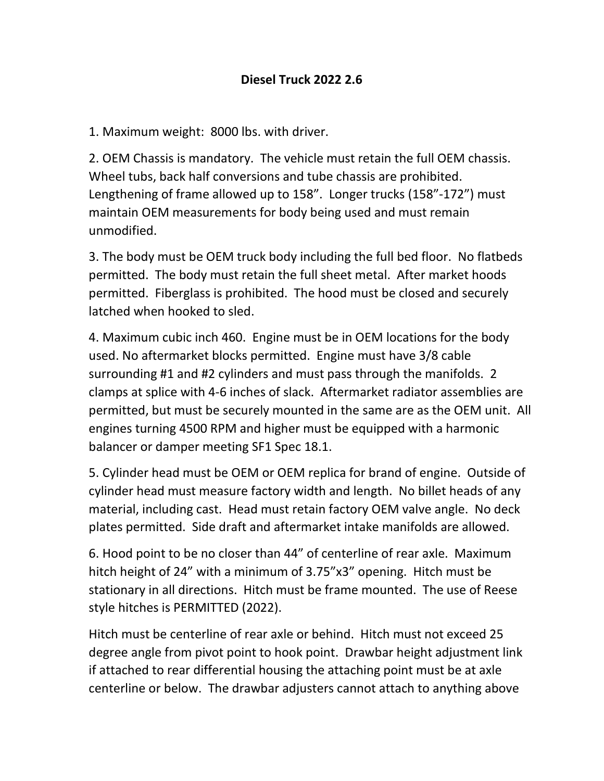1. Maximum weight: 8000 lbs. with driver.

2. OEM Chassis is mandatory. The vehicle must retain the full OEM chassis. Wheel tubs, back half conversions and tube chassis are prohibited. Lengthening of frame allowed up to 158". Longer trucks (158"-172") must maintain OEM measurements for body being used and must remain unmodified.

3. The body must be OEM truck body including the full bed floor. No flatbeds permitted. The body must retain the full sheet metal. After market hoods permitted. Fiberglass is prohibited. The hood must be closed and securely latched when hooked to sled.

4. Maximum cubic inch 460. Engine must be in OEM locations for the body used. No aftermarket blocks permitted. Engine must have 3/8 cable surrounding #1 and #2 cylinders and must pass through the manifolds. 2 clamps at splice with 4-6 inches of slack. Aftermarket radiator assemblies are permitted, but must be securely mounted in the same are as the OEM unit. All engines turning 4500 RPM and higher must be equipped with a harmonic balancer or damper meeting SF1 Spec 18.1.

5. Cylinder head must be OEM or OEM replica for brand of engine. Outside of cylinder head must measure factory width and length. No billet heads of any material, including cast. Head must retain factory OEM valve angle. No deck plates permitted. Side draft and aftermarket intake manifolds are allowed.

6. Hood point to be no closer than 44" of centerline of rear axle. Maximum hitch height of 24" with a minimum of 3.75"x3" opening. Hitch must be stationary in all directions. Hitch must be frame mounted. The use of Reese style hitches is PERMITTED (2022).

Hitch must be centerline of rear axle or behind. Hitch must not exceed 25 degree angle from pivot point to hook point. Drawbar height adjustment link if attached to rear differential housing the attaching point must be at axle centerline or below. The drawbar adjusters cannot attach to anything above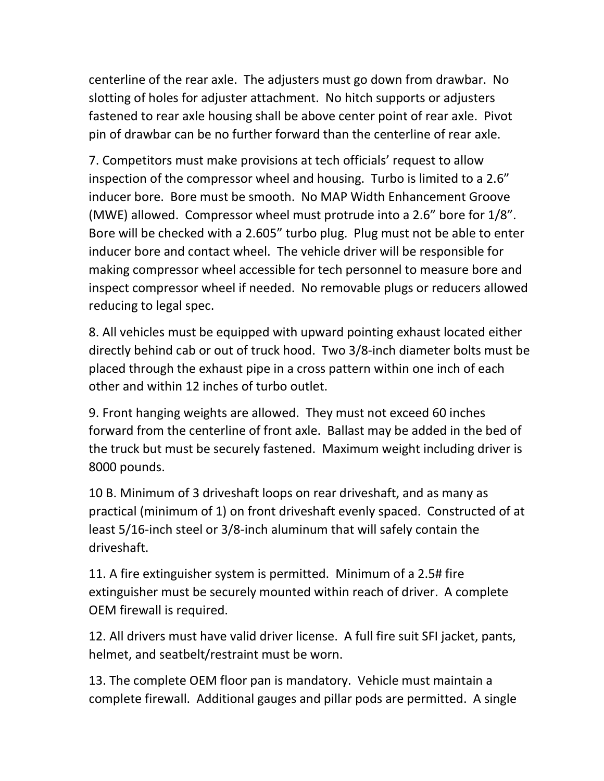centerline of the rear axle. The adjusters must go down from drawbar. No slotting of holes for adjuster attachment. No hitch supports or adjusters fastened to rear axle housing shall be above center point of rear axle. Pivot pin of drawbar can be no further forward than the centerline of rear axle.

7. Competitors must make provisions at tech officials' request to allow inspection of the compressor wheel and housing. Turbo is limited to a 2.6" inducer bore. Bore must be smooth. No MAP Width Enhancement Groove (MWE) allowed. Compressor wheel must protrude into a 2.6" bore for 1/8". Bore will be checked with a 2.605" turbo plug. Plug must not be able to enter inducer bore and contact wheel. The vehicle driver will be responsible for making compressor wheel accessible for tech personnel to measure bore and inspect compressor wheel if needed. No removable plugs or reducers allowed reducing to legal spec.

8. All vehicles must be equipped with upward pointing exhaust located either directly behind cab or out of truck hood. Two 3/8-inch diameter bolts must be placed through the exhaust pipe in a cross pattern within one inch of each other and within 12 inches of turbo outlet.

9. Front hanging weights are allowed. They must not exceed 60 inches forward from the centerline of front axle. Ballast may be added in the bed of the truck but must be securely fastened. Maximum weight including driver is 8000 pounds.

10 B. Minimum of 3 driveshaft loops on rear driveshaft, and as many as practical (minimum of 1) on front driveshaft evenly spaced. Constructed of at least 5/16-inch steel or 3/8-inch aluminum that will safely contain the driveshaft.

11. A fire extinguisher system is permitted. Minimum of a 2.5# fire extinguisher must be securely mounted within reach of driver. A complete OEM firewall is required.

12. All drivers must have valid driver license. A full fire suit SFI jacket, pants, helmet, and seatbelt/restraint must be worn.

13. The complete OEM floor pan is mandatory. Vehicle must maintain a complete firewall. Additional gauges and pillar pods are permitted. A single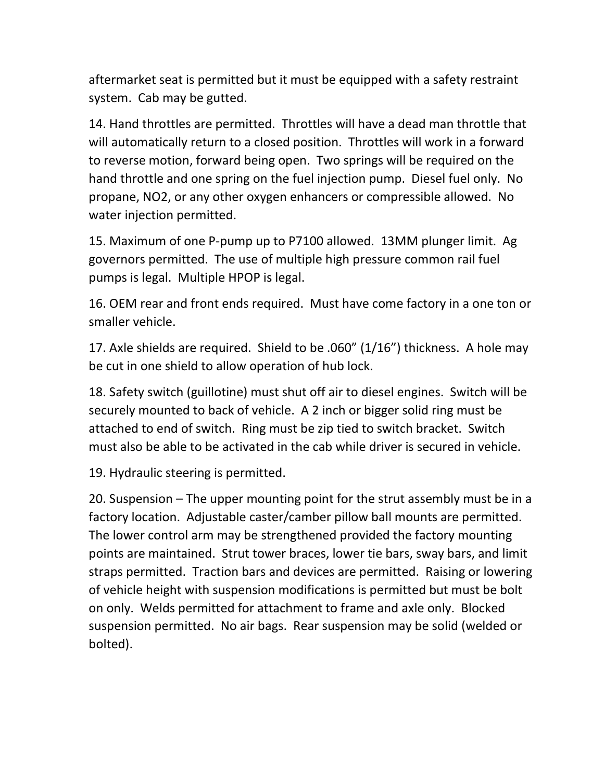aftermarket seat is permitted but it must be equipped with a safety restraint system. Cab may be gutted.

14. Hand throttles are permitted. Throttles will have a dead man throttle that will automatically return to a closed position. Throttles will work in a forward to reverse motion, forward being open. Two springs will be required on the hand throttle and one spring on the fuel injection pump. Diesel fuel only. No propane, NO2, or any other oxygen enhancers or compressible allowed. No water injection permitted.

15. Maximum of one P-pump up to P7100 allowed. 13MM plunger limit. Ag governors permitted. The use of multiple high pressure common rail fuel pumps is legal. Multiple HPOP is legal.

16. OEM rear and front ends required. Must have come factory in a one ton or smaller vehicle.

17. Axle shields are required. Shield to be .060" (1/16") thickness. A hole may be cut in one shield to allow operation of hub lock.

18. Safety switch (guillotine) must shut off air to diesel engines. Switch will be securely mounted to back of vehicle. A 2 inch or bigger solid ring must be attached to end of switch. Ring must be zip tied to switch bracket. Switch must also be able to be activated in the cab while driver is secured in vehicle.

19. Hydraulic steering is permitted.

20. Suspension – The upper mounting point for the strut assembly must be in a factory location. Adjustable caster/camber pillow ball mounts are permitted. The lower control arm may be strengthened provided the factory mounting points are maintained. Strut tower braces, lower tie bars, sway bars, and limit straps permitted. Traction bars and devices are permitted. Raising or lowering of vehicle height with suspension modifications is permitted but must be bolt on only. Welds permitted for attachment to frame and axle only. Blocked suspension permitted. No air bags. Rear suspension may be solid (welded or bolted).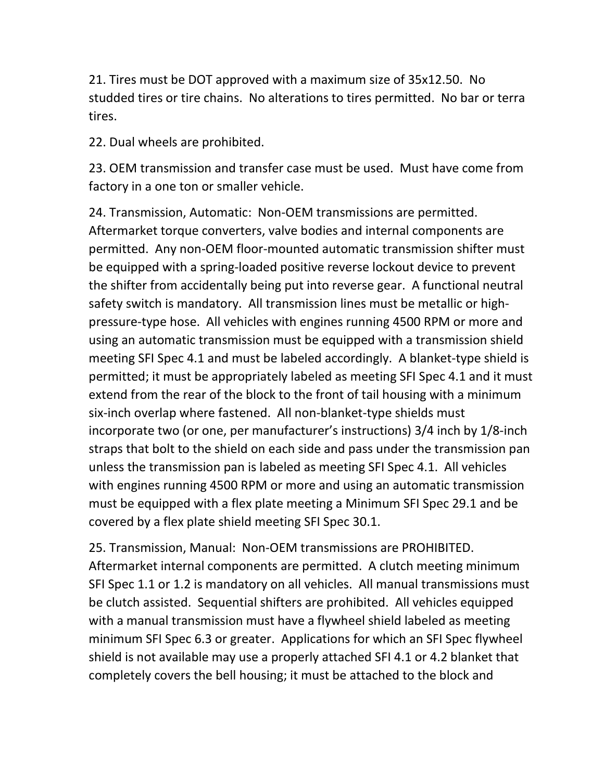21. Tires must be DOT approved with a maximum size of 35x12.50. No studded tires or tire chains. No alterations to tires permitted. No bar or terra tires.

22. Dual wheels are prohibited.

23. OEM transmission and transfer case must be used. Must have come from factory in a one ton or smaller vehicle.

24. Transmission, Automatic: Non-OEM transmissions are permitted. Aftermarket torque converters, valve bodies and internal components are permitted. Any non-OEM floor-mounted automatic transmission shifter must be equipped with a spring-loaded positive reverse lockout device to prevent the shifter from accidentally being put into reverse gear. A functional neutral safety switch is mandatory. All transmission lines must be metallic or highpressure-type hose. All vehicles with engines running 4500 RPM or more and using an automatic transmission must be equipped with a transmission shield meeting SFI Spec 4.1 and must be labeled accordingly. A blanket-type shield is permitted; it must be appropriately labeled as meeting SFI Spec 4.1 and it must extend from the rear of the block to the front of tail housing with a minimum six-inch overlap where fastened. All non-blanket-type shields must incorporate two (or one, per manufacturer's instructions) 3/4 inch by 1/8-inch straps that bolt to the shield on each side and pass under the transmission pan unless the transmission pan is labeled as meeting SFI Spec 4.1. All vehicles with engines running 4500 RPM or more and using an automatic transmission must be equipped with a flex plate meeting a Minimum SFI Spec 29.1 and be covered by a flex plate shield meeting SFI Spec 30.1.

25. Transmission, Manual: Non-OEM transmissions are PROHIBITED. Aftermarket internal components are permitted. A clutch meeting minimum SFI Spec 1.1 or 1.2 is mandatory on all vehicles. All manual transmissions must be clutch assisted. Sequential shifters are prohibited. All vehicles equipped with a manual transmission must have a flywheel shield labeled as meeting minimum SFI Spec 6.3 or greater. Applications for which an SFI Spec flywheel shield is not available may use a properly attached SFI 4.1 or 4.2 blanket that completely covers the bell housing; it must be attached to the block and